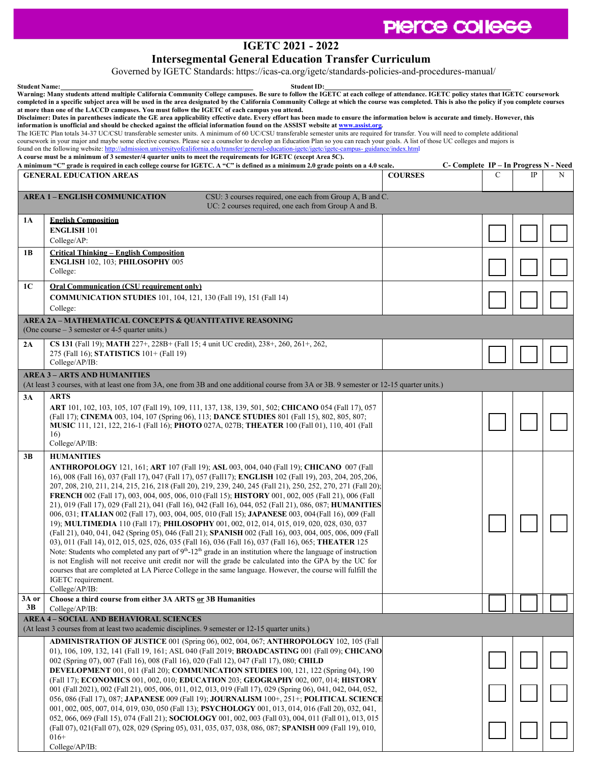## PIerce college

## **IGETC 2021 - 2022**

**Intersegmental General Education Transfer Curriculum**

Governed by IGETC Standards: https://icas-ca.org/igetc/standards-policies-and-procedures-manual/

| <b>Student Name:</b><br><b>Student ID:</b><br>Warning: Many students attend multiple California Community College campuses. Be sure to follow the IGETC at each college of attendance. IGETC policy states that IGETC coursework<br>completed in a specific subject area will be used in the area designated by the California Community College at which the course was completed. This is also the policy if you complete courses<br>at more than one of the LACCD campuses. You must follow the IGETC of each campus you attend.                                                                                                                                                                                                                                                                                                                                                                                                                                           |                                                                                                                                                                                                                                                                                                                                                                                                                                                                                                                                                                                                                                                                                                                                                                                                                                                                                                                                                                                                                                                                                                                                                                                                                                                                                                                                                                                                                                       |                |                                       |             |   |  |  |  |  |
|-------------------------------------------------------------------------------------------------------------------------------------------------------------------------------------------------------------------------------------------------------------------------------------------------------------------------------------------------------------------------------------------------------------------------------------------------------------------------------------------------------------------------------------------------------------------------------------------------------------------------------------------------------------------------------------------------------------------------------------------------------------------------------------------------------------------------------------------------------------------------------------------------------------------------------------------------------------------------------|---------------------------------------------------------------------------------------------------------------------------------------------------------------------------------------------------------------------------------------------------------------------------------------------------------------------------------------------------------------------------------------------------------------------------------------------------------------------------------------------------------------------------------------------------------------------------------------------------------------------------------------------------------------------------------------------------------------------------------------------------------------------------------------------------------------------------------------------------------------------------------------------------------------------------------------------------------------------------------------------------------------------------------------------------------------------------------------------------------------------------------------------------------------------------------------------------------------------------------------------------------------------------------------------------------------------------------------------------------------------------------------------------------------------------------------|----------------|---------------------------------------|-------------|---|--|--|--|--|
| Disclaimer: Dates in parentheses indicate the GE area applicability effective date. Every effort has been made to ensure the information below is accurate and timely. However, this<br>information is unofficial and should be checked against the official information found on the ASSIST website at www.assist.org.<br>The IGETC Plan totals 34-37 UC/CSU transferable semester units. A minimum of 60 UC/CSU transferable semester units are required for transfer. You will need to complete additional<br>coursework in your major and maybe some elective courses. Please see a counselor to develop an Education Plan so you can reach your goals. A list of those UC colleges and majors is<br>found on the following website: http://admission.universityofcalifornia.edu/transfer/general-education-igetc/igetc/igetc-campus-guidance/index.html<br>A course must be a minimum of 3 semester/4 quarter units to meet the requirements for IGETC (except Area 5C). |                                                                                                                                                                                                                                                                                                                                                                                                                                                                                                                                                                                                                                                                                                                                                                                                                                                                                                                                                                                                                                                                                                                                                                                                                                                                                                                                                                                                                                       |                |                                       |             |   |  |  |  |  |
|                                                                                                                                                                                                                                                                                                                                                                                                                                                                                                                                                                                                                                                                                                                                                                                                                                                                                                                                                                               | A minimum "C" grade is required in each college course for IGETC. A "C" is defined as a minimum 2.0 grade points on a 4.0 scale.                                                                                                                                                                                                                                                                                                                                                                                                                                                                                                                                                                                                                                                                                                                                                                                                                                                                                                                                                                                                                                                                                                                                                                                                                                                                                                      |                | C- Complete IP – In Progress N - Need |             |   |  |  |  |  |
|                                                                                                                                                                                                                                                                                                                                                                                                                                                                                                                                                                                                                                                                                                                                                                                                                                                                                                                                                                               | <b>GENERAL EDUCATION AREAS</b>                                                                                                                                                                                                                                                                                                                                                                                                                                                                                                                                                                                                                                                                                                                                                                                                                                                                                                                                                                                                                                                                                                                                                                                                                                                                                                                                                                                                        | <b>COURSES</b> | C                                     | $_{\rm IP}$ | N |  |  |  |  |
| <b>AREA 1 – ENGLISH COMMUNICATION</b><br>CSU: 3 courses required, one each from Group A, B and C.<br>UC: 2 courses required, one each from Group A and B.                                                                                                                                                                                                                                                                                                                                                                                                                                                                                                                                                                                                                                                                                                                                                                                                                     |                                                                                                                                                                                                                                                                                                                                                                                                                                                                                                                                                                                                                                                                                                                                                                                                                                                                                                                                                                                                                                                                                                                                                                                                                                                                                                                                                                                                                                       |                |                                       |             |   |  |  |  |  |
| 1A                                                                                                                                                                                                                                                                                                                                                                                                                                                                                                                                                                                                                                                                                                                                                                                                                                                                                                                                                                            | <b>English Composition</b>                                                                                                                                                                                                                                                                                                                                                                                                                                                                                                                                                                                                                                                                                                                                                                                                                                                                                                                                                                                                                                                                                                                                                                                                                                                                                                                                                                                                            |                |                                       |             |   |  |  |  |  |
|                                                                                                                                                                                                                                                                                                                                                                                                                                                                                                                                                                                                                                                                                                                                                                                                                                                                                                                                                                               | <b>ENGLISH 101</b>                                                                                                                                                                                                                                                                                                                                                                                                                                                                                                                                                                                                                                                                                                                                                                                                                                                                                                                                                                                                                                                                                                                                                                                                                                                                                                                                                                                                                    |                |                                       |             |   |  |  |  |  |
|                                                                                                                                                                                                                                                                                                                                                                                                                                                                                                                                                                                                                                                                                                                                                                                                                                                                                                                                                                               | College/AP:                                                                                                                                                                                                                                                                                                                                                                                                                                                                                                                                                                                                                                                                                                                                                                                                                                                                                                                                                                                                                                                                                                                                                                                                                                                                                                                                                                                                                           |                |                                       |             |   |  |  |  |  |
| 1B                                                                                                                                                                                                                                                                                                                                                                                                                                                                                                                                                                                                                                                                                                                                                                                                                                                                                                                                                                            | <b>Critical Thinking - English Composition</b><br>ENGLISH 102, 103; PHILOSOPHY 005                                                                                                                                                                                                                                                                                                                                                                                                                                                                                                                                                                                                                                                                                                                                                                                                                                                                                                                                                                                                                                                                                                                                                                                                                                                                                                                                                    |                |                                       |             |   |  |  |  |  |
|                                                                                                                                                                                                                                                                                                                                                                                                                                                                                                                                                                                                                                                                                                                                                                                                                                                                                                                                                                               | College:                                                                                                                                                                                                                                                                                                                                                                                                                                                                                                                                                                                                                                                                                                                                                                                                                                                                                                                                                                                                                                                                                                                                                                                                                                                                                                                                                                                                                              |                |                                       |             |   |  |  |  |  |
| 1C                                                                                                                                                                                                                                                                                                                                                                                                                                                                                                                                                                                                                                                                                                                                                                                                                                                                                                                                                                            | <b>Oral Communication (CSU requirement only)</b>                                                                                                                                                                                                                                                                                                                                                                                                                                                                                                                                                                                                                                                                                                                                                                                                                                                                                                                                                                                                                                                                                                                                                                                                                                                                                                                                                                                      |                |                                       |             |   |  |  |  |  |
|                                                                                                                                                                                                                                                                                                                                                                                                                                                                                                                                                                                                                                                                                                                                                                                                                                                                                                                                                                               | <b>COMMUNICATION STUDIES</b> 101, 104, 121, 130 (Fall 19), 151 (Fall 14)<br>College:                                                                                                                                                                                                                                                                                                                                                                                                                                                                                                                                                                                                                                                                                                                                                                                                                                                                                                                                                                                                                                                                                                                                                                                                                                                                                                                                                  |                |                                       |             |   |  |  |  |  |
|                                                                                                                                                                                                                                                                                                                                                                                                                                                                                                                                                                                                                                                                                                                                                                                                                                                                                                                                                                               | <b>AREA 2A - MATHEMATICAL CONCEPTS &amp; QUANTITATIVE REASONING</b>                                                                                                                                                                                                                                                                                                                                                                                                                                                                                                                                                                                                                                                                                                                                                                                                                                                                                                                                                                                                                                                                                                                                                                                                                                                                                                                                                                   |                |                                       |             |   |  |  |  |  |
|                                                                                                                                                                                                                                                                                                                                                                                                                                                                                                                                                                                                                                                                                                                                                                                                                                                                                                                                                                               | (One course $-3$ semester or 4-5 quarter units.)                                                                                                                                                                                                                                                                                                                                                                                                                                                                                                                                                                                                                                                                                                                                                                                                                                                                                                                                                                                                                                                                                                                                                                                                                                                                                                                                                                                      |                |                                       |             |   |  |  |  |  |
| 2A                                                                                                                                                                                                                                                                                                                                                                                                                                                                                                                                                                                                                                                                                                                                                                                                                                                                                                                                                                            | CS 131 (Fall 19); MATH 227+, 228B+ (Fall 15; 4 unit UC credit), 238+, 260, 261+, 262,                                                                                                                                                                                                                                                                                                                                                                                                                                                                                                                                                                                                                                                                                                                                                                                                                                                                                                                                                                                                                                                                                                                                                                                                                                                                                                                                                 |                |                                       |             |   |  |  |  |  |
|                                                                                                                                                                                                                                                                                                                                                                                                                                                                                                                                                                                                                                                                                                                                                                                                                                                                                                                                                                               | 275 (Fall 16); STATISTICS 101+ (Fall 19)<br>College/AP/IB:                                                                                                                                                                                                                                                                                                                                                                                                                                                                                                                                                                                                                                                                                                                                                                                                                                                                                                                                                                                                                                                                                                                                                                                                                                                                                                                                                                            |                |                                       |             |   |  |  |  |  |
|                                                                                                                                                                                                                                                                                                                                                                                                                                                                                                                                                                                                                                                                                                                                                                                                                                                                                                                                                                               | <b>AREA 3 – ARTS AND HUMANITIES</b>                                                                                                                                                                                                                                                                                                                                                                                                                                                                                                                                                                                                                                                                                                                                                                                                                                                                                                                                                                                                                                                                                                                                                                                                                                                                                                                                                                                                   |                |                                       |             |   |  |  |  |  |
|                                                                                                                                                                                                                                                                                                                                                                                                                                                                                                                                                                                                                                                                                                                                                                                                                                                                                                                                                                               | (At least 3 courses, with at least one from 3A, one from 3B and one additional course from 3A or 3B. 9 semester or 12-15 quarter units.)                                                                                                                                                                                                                                                                                                                                                                                                                                                                                                                                                                                                                                                                                                                                                                                                                                                                                                                                                                                                                                                                                                                                                                                                                                                                                              |                |                                       |             |   |  |  |  |  |
| 3A                                                                                                                                                                                                                                                                                                                                                                                                                                                                                                                                                                                                                                                                                                                                                                                                                                                                                                                                                                            | <b>ARTS</b><br><b>ART</b> 101, 102, 103, 105, 107 (Fall 19), 109, 111, 137, 138, 139, 501, 502; <b>CHICANO</b> 054 (Fall 17), 057<br>(Fall 17); CINEMA 003, 104, 107 (Spring 06), 113; DANCE STUDIES 801 (Fall 15), 802, 805, 807;<br><b>MUSIC</b> 111, 121, 122, 216-1 (Fall 16); <b>PHOTO</b> 027A, 027B; <b>THEATER</b> 100 (Fall 01), 110, 401 (Fall<br>16)<br>College/AP/IB:                                                                                                                                                                                                                                                                                                                                                                                                                                                                                                                                                                                                                                                                                                                                                                                                                                                                                                                                                                                                                                                     |                |                                       |             |   |  |  |  |  |
| 3B                                                                                                                                                                                                                                                                                                                                                                                                                                                                                                                                                                                                                                                                                                                                                                                                                                                                                                                                                                            | <b>HUMANITIES</b><br><b>ANTHROPOLOGY</b> 121, 161; <b>ART</b> 107 (Fall 19); <b>ASL</b> 003, 004, 040 (Fall 19); <b>CHICANO</b> 007 (Fall<br>16), 008 (Fall 16), 037 (Fall 17), 047 (Fall 17), 057 (Fall17); <b>ENGLISH</b> 102 (Fall 19), 203, 204, 205, 206,<br>207, 208, 210, 211, 214, 215, 216, 218 (Fall 20), 219, 239, 240, 245 (Fall 21), 250, 252, 270, 271 (Fall 20)<br>FRENCH 002 (Fall 17), 003, 004, 005, 006, 010 (Fall 15); HISTORY 001, 002, 005 (Fall 21), 006 (Fall<br>21), 019 (Fall 17), 029 (Fall 21), 041 (Fall 16), 042 (Fall 16), 044, 052 (Fall 21), 086, 087; <b>HUMANITIES</b><br>006, 031; ITALIAN 002 (Fall 17), 003, 004, 005, 010 (Fall 15); JAPANESE 003, 004 (Fall 16), 009 (Fall<br>19); MULTIMEDIA 110 (Fall 17); PHILOSOPHY 001, 002, 012, 014, 015, 019, 020, 028, 030, 037<br>(Fall 21), 040, 041, 042 (Spring 05), 046 (Fall 21); SPANISH 002 (Fall 16), 003, 004, 005, 006, 009 (Fall<br>03), 011 (Fall 14), 012, 015, 025, 026, 035 (Fall 16), 036 (Fall 16), 037 (Fall 16), 065; THEATER 125<br>Note: Students who completed any part of $9th$ -12 <sup>th</sup> grade in an institution where the language of instruction<br>is not English will not receive unit credit nor will the grade be calculated into the GPA by the UC for<br>courses that are completed at LA Pierce College in the same language. However, the course will fulfill the<br>IGETC requirement.<br>College/AP/IB: |                |                                       |             |   |  |  |  |  |
| 3A or<br>3B                                                                                                                                                                                                                                                                                                                                                                                                                                                                                                                                                                                                                                                                                                                                                                                                                                                                                                                                                                   | Choose a third course from either 3A ARTS or 3B Humanities<br>CollectAP/IB:                                                                                                                                                                                                                                                                                                                                                                                                                                                                                                                                                                                                                                                                                                                                                                                                                                                                                                                                                                                                                                                                                                                                                                                                                                                                                                                                                           |                |                                       |             |   |  |  |  |  |
| <b>AREA 4 - SOCIAL AND BEHAVIORAL SCIENCES</b><br>(At least 3 courses from at least two academic disciplines. 9 semester or 12-15 quarter units.)                                                                                                                                                                                                                                                                                                                                                                                                                                                                                                                                                                                                                                                                                                                                                                                                                             |                                                                                                                                                                                                                                                                                                                                                                                                                                                                                                                                                                                                                                                                                                                                                                                                                                                                                                                                                                                                                                                                                                                                                                                                                                                                                                                                                                                                                                       |                |                                       |             |   |  |  |  |  |
|                                                                                                                                                                                                                                                                                                                                                                                                                                                                                                                                                                                                                                                                                                                                                                                                                                                                                                                                                                               | <b>ADMINISTRATION OF JUSTICE</b> 001 (Spring 06), 002, 004, 067; <b>ANTHROPOLOGY</b> 102, 105 (Fall                                                                                                                                                                                                                                                                                                                                                                                                                                                                                                                                                                                                                                                                                                                                                                                                                                                                                                                                                                                                                                                                                                                                                                                                                                                                                                                                   |                |                                       |             |   |  |  |  |  |
|                                                                                                                                                                                                                                                                                                                                                                                                                                                                                                                                                                                                                                                                                                                                                                                                                                                                                                                                                                               | 01), 106, 109, 132, 141 (Fall 19, 161; ASL 040 (Fall 2019; <b>BROADCASTING</b> 001 (Fall 09); <b>CHICANO</b><br>002 (Spring 07), 007 (Fall 16), 008 (Fall 16), 020 (Fall 12), 047 (Fall 17), 080; CHILD<br>DEVELOPMENT 001, 011 (Fall 20); COMMUNICATION STUDIES 100, 121, 122 (Spring 04), 190<br>(Fall 17); ECONOMICS 001, 002, 010; EDUCATION 203; GEOGRAPHY 002, 007, 014; HISTORY<br>001 (Fall 2021), 002 (Fall 21), 005, 006, 011, 012, 013, 019 (Fall 17), 029 (Spring 06), 041, 042, 044, 052,<br>056, 086 (Fall 17), 087; JAPANESE 009 (Fall 19); JOURNALISM 100+, 251+; POLITICAL SCIENCE<br>001, 002, 005, 007, 014, 019, 030, 050 (Fall 13); PSYCHOLOGY 001, 013, 014, 016 (Fall 20), 032, 041,<br>052, 066, 069 (Fall 15), 074 (Fall 21); <b>SOCIOLOGY</b> 001, 002, 003 (Fall 03), 004, 011 (Fall 01), 013, 015<br>(Fall 07), 021(Fall 07), 028, 029 (Spring 05), 031, 035, 037, 038, 086, 087; <b>SPANISH</b> 009 (Fall 19), 010,<br>$016+$                                                                                                                                                                                                                                                                                                                                                                                                                                                                            |                |                                       |             |   |  |  |  |  |
|                                                                                                                                                                                                                                                                                                                                                                                                                                                                                                                                                                                                                                                                                                                                                                                                                                                                                                                                                                               | College/AP/IB:                                                                                                                                                                                                                                                                                                                                                                                                                                                                                                                                                                                                                                                                                                                                                                                                                                                                                                                                                                                                                                                                                                                                                                                                                                                                                                                                                                                                                        |                |                                       |             |   |  |  |  |  |